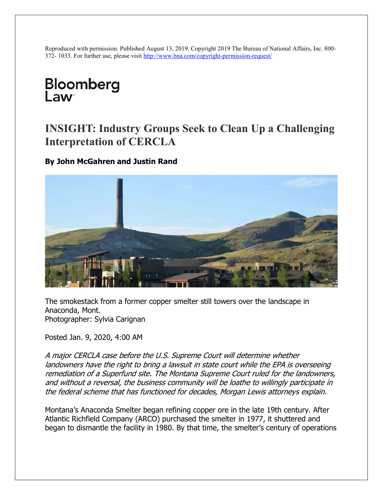Reproduced with permission. Published August 13, 2019. Copyright 2019 The Bureau of National Affairs, Inc. 800- 372- 1033. For further use, please visit http://www.bna.com/copyright-permission-request/

# Bloomberg l aw<sup>®</sup>

## INSIGHT: Industry Groups Seek to Clean Up a Challenging Interpretation of CERCLA

By John McGahren and Justin Rand



The smokestack from a former copper smelter still towers over the landscape in Anaconda, Mont. Photographer: Sylvia Carignan

Posted Jan. 9, 2020, 4:00 AM

A major CERCLA case before the U.S. Supreme Court will determine whether landowners have the right to bring a lawsuit in state court while the EPA is overseeing remediation of a Superfund site. The Montana Supreme Court ruled for the landowners, and without a reversal, the business community will be loathe to willingly participate in the federal scheme that has functioned for decades, Morgan Lewis attorneys explain.

Montana's Anaconda Smelter began refining copper ore in the late 19th century. After Atlantic Richfield Company (ARCO) purchased the smelter in 1977, it shuttered and began to dismantle the facility in 1980. By that time, the smelter's century of operations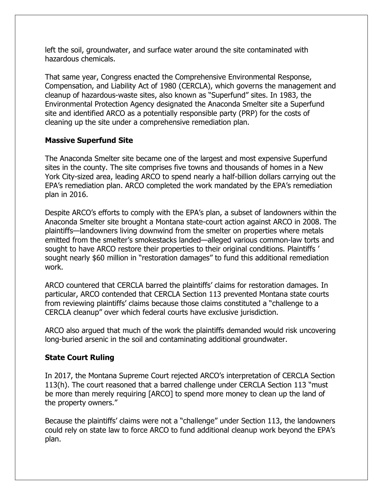left the soil, groundwater, and surface water around the site contaminated with hazardous chemicals.

That same year, Congress enacted the Comprehensive Environmental Response, Compensation, and Liability Act of 1980 (CERCLA), which governs the management and cleanup of hazardous-waste sites, also known as "Superfund" sites. In 1983, the Environmental Protection Agency designated the Anaconda Smelter site a Superfund site and identified ARCO as a potentially responsible party (PRP) for the costs of cleaning up the site under a comprehensive remediation plan.

#### Massive Superfund Site

The Anaconda Smelter site became one of the largest and most expensive Superfund sites in the county. The site comprises five towns and thousands of homes in a New York City-sized area, leading ARCO to spend nearly a half-billion dollars carrying out the EPA's remediation plan. ARCO completed the work mandated by the EPA's remediation plan in 2016.

Despite ARCO's efforts to comply with the EPA's plan, a subset of landowners within the Anaconda Smelter site brought a Montana state-court action against ARCO in 2008. The plaintiffs—landowners living downwind from the smelter on properties where metals emitted from the smelter's smokestacks landed—alleged various common-law torts and sought to have ARCO restore their properties to their original conditions. Plaintiffs ' sought nearly \$60 million in "restoration damages" to fund this additional remediation work.

ARCO countered that CERCLA barred the plaintiffs' claims for restoration damages. In particular, ARCO contended that CERCLA Section 113 prevented Montana state courts from reviewing plaintiffs' claims because those claims constituted a "challenge to a CERCLA cleanup" over which federal courts have exclusive jurisdiction.

ARCO also argued that much of the work the plaintiffs demanded would risk uncovering long-buried arsenic in the soil and contaminating additional groundwater.

#### State Court Ruling

In 2017, the Montana Supreme Court rejected ARCO's interpretation of CERCLA Section 113(h). The court reasoned that a barred challenge under CERCLA Section 113 "must be more than merely requiring [ARCO] to spend more money to clean up the land of the property owners."

Because the plaintiffs' claims were not a "challenge" under Section 113, the landowners could rely on state law to force ARCO to fund additional cleanup work beyond the EPA's plan.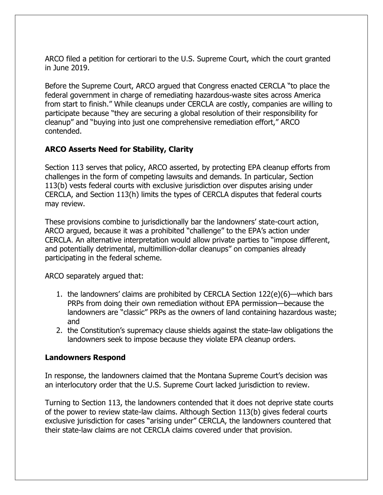ARCO filed a petition for certiorari to the U.S. Supreme Court, which the court granted in June 2019.

Before the Supreme Court, ARCO argued that Congress enacted CERCLA "to place the federal government in charge of remediating hazardous-waste sites across America from start to finish." While cleanups under CERCLA are costly, companies are willing to participate because "they are securing a global resolution of their responsibility for cleanup" and "buying into just one comprehensive remediation effort," ARCO contended.

#### ARCO Asserts Need for Stability, Clarity

Section 113 serves that policy, ARCO asserted, by protecting EPA cleanup efforts from challenges in the form of competing lawsuits and demands. In particular, Section 113(b) vests federal courts with exclusive jurisdiction over disputes arising under CERCLA, and Section 113(h) limits the types of CERCLA disputes that federal courts may review.

These provisions combine to jurisdictionally bar the landowners' state-court action, ARCO argued, because it was a prohibited "challenge" to the EPA's action under CERCLA. An alternative interpretation would allow private parties to "impose different, and potentially detrimental, multimillion-dollar cleanups" on companies already participating in the federal scheme.

ARCO separately argued that:

- 1. the landowners' claims are prohibited by CERCLA Section 122(e)(6)—which bars PRPs from doing their own remediation without EPA permission—because the landowners are "classic" PRPs as the owners of land containing hazardous waste; and
- 2. the Constitution's supremacy clause shields against the state-law obligations the landowners seek to impose because they violate EPA cleanup orders.

#### Landowners Respond

In response, the landowners claimed that the Montana Supreme Court's decision was an interlocutory order that the U.S. Supreme Court lacked jurisdiction to review.

Turning to Section 113, the landowners contended that it does not deprive state courts of the power to review state-law claims. Although Section 113(b) gives federal courts exclusive jurisdiction for cases "arising under" CERCLA, the landowners countered that their state-law claims are not CERCLA claims covered under that provision.